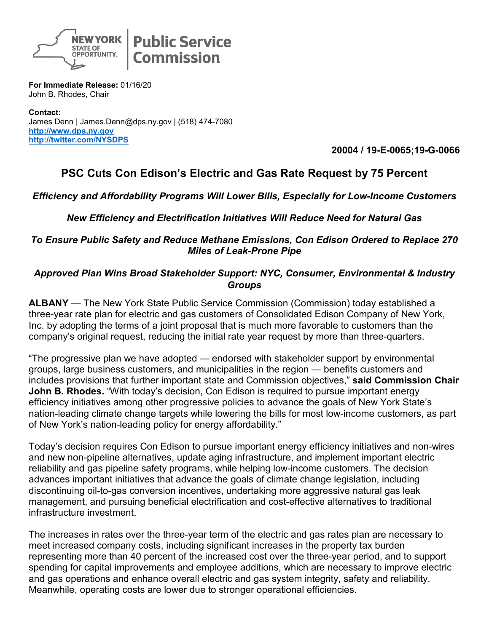

**Public Service Commission** 

**For Immediate Release:** 01/16/20 John B. Rhodes, Chair

**Contact:** James Denn | James.Denn@dps.ny.gov | (518) 474-7080 **[http://www.dps.ny.gov](http://www.dps.ny.gov/) <http://twitter.com/NYSDPS>**

**20004 / 19-E-0065;19-G-0066**

## **PSC Cuts Con Edison's Electric and Gas Rate Request by 75 Percent**

*Efficiency and Affordability Programs Will Lower Bills, Especially for Low-Income Customers*

*New Efficiency and Electrification Initiatives Will Reduce Need for Natural Gas* 

## *To Ensure Public Safety and Reduce Methane Emissions, Con Edison Ordered to Replace 270 Miles of Leak-Prone Pipe*

## *Approved Plan Wins Broad Stakeholder Support: NYC, Consumer, Environmental & Industry Groups*

**ALBANY** — The New York State Public Service Commission (Commission) today established a three-year rate plan for electric and gas customers of Consolidated Edison Company of New York, Inc. by adopting the terms of a joint proposal that is much more favorable to customers than the company's original request, reducing the initial rate year request by more than three-quarters.

"The progressive plan we have adopted — endorsed with stakeholder support by environmental groups, large business customers, and municipalities in the region — benefits customers and includes provisions that further important state and Commission objectives," **said Commission Chair John B. Rhodes.** "With today's decision, Con Edison is required to pursue important energy efficiency initiatives among other progressive policies to advance the goals of New York State's nation-leading climate change targets while lowering the bills for most low-income customers, as part of New York's nation-leading policy for energy affordability."

Today's decision requires Con Edison to pursue important energy efficiency initiatives and non-wires and new non-pipeline alternatives, update aging infrastructure, and implement important electric reliability and gas pipeline safety programs, while helping low-income customers. The decision advances important initiatives that advance the goals of climate change legislation, including discontinuing oil-to-gas conversion incentives, undertaking more aggressive natural gas leak management, and pursuing beneficial electrification and cost-effective alternatives to traditional infrastructure investment.

The increases in rates over the three-year term of the electric and gas rates plan are necessary to meet increased company costs, including significant increases in the property tax burden representing more than 40 percent of the increased cost over the three-year period, and to support spending for capital improvements and employee additions, which are necessary to improve electric and gas operations and enhance overall electric and gas system integrity, safety and reliability. Meanwhile, operating costs are lower due to stronger operational efficiencies.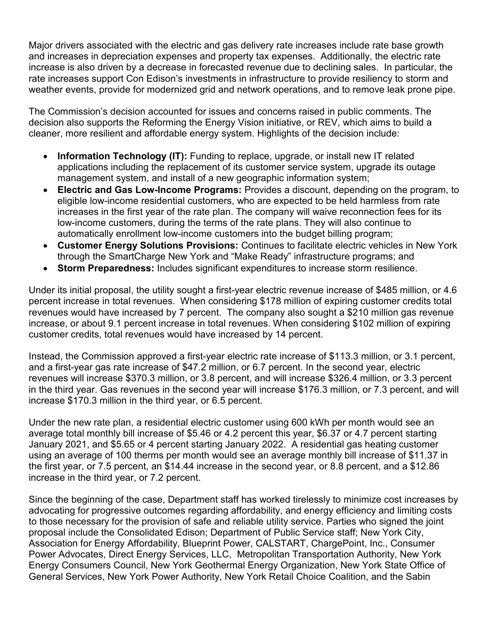Major drivers associated with the electric and gas delivery rate increases include rate base growth and increases in depreciation expenses and property tax expenses. Additionally, the electric rate increase is also driven by a decrease in forecasted revenue due to declining sales. In particular, the rate increases support Con Edison's investments in infrastructure to provide resiliency to storm and weather events, provide for modernized grid and network operations, and to remove leak prone pipe.

The Commission's decision accounted for issues and concerns raised in public comments. The decision also supports the Reforming the Energy Vision initiative, or REV, which aims to build a cleaner, more resilient and affordable energy system. Highlights of the decision include:

- **Information Technology (IT):** Funding to replace, upgrade, or install new IT related applications including the replacement of its customer service system, upgrade its outage management system, and install of a new geographic information system;
- **Electric and Gas Low-Income Programs:** Provides a discount, depending on the program, to eligible low-income residential customers, who are expected to be held harmless from rate increases in the first year of the rate plan. The company will waive reconnection fees for its low-income customers, during the terms of the rate plans. They will also continue to automatically enrollment low-income customers into the budget billing program;
- **Customer Energy Solutions Provisions:** Continues to facilitate electric vehicles in New York through the SmartCharge New York and "Make Ready" infrastructure programs; and
- **Storm Preparedness:** Includes significant expenditures to increase storm resilience.

Under its initial proposal, the utility sought a first-year electric revenue increase of \$485 million, or 4.6 percent increase in total revenues. When considering \$178 million of expiring customer credits total revenues would have increased by 7 percent. The company also sought a \$210 million gas revenue increase, or about 9.1 percent increase in total revenues. When considering \$102 million of expiring customer credits, total revenues would have increased by 14 percent.

Instead, the Commission approved a first-year electric rate increase of \$113.3 million, or 3.1 percent, and a first-year gas rate increase of \$47.2 million, or 6.7 percent. In the second year, electric revenues will increase \$370.3 million, or 3.8 percent, and will increase \$326.4 million, or 3.3 percent in the third year. Gas revenues in the second year will increase \$176.3 million, or 7.3 percent, and will increase \$170.3 million in the third year, or 6.5 percent.

Under the new rate plan, a residential electric customer using 600 kWh per month would see an average total monthly bill increase of \$5.46 or 4.2 percent this year, \$6.37 or 4.7 percent starting January 2021, and \$5.65 or 4 percent starting January 2022. A residential gas heating customer using an average of 100 therms per month would see an average monthly bill increase of \$11.37 in the first year, or 7.5 percent, an \$14.44 increase in the second year, or 8.8 percent, and a \$12.86 increase in the third year, or 7.2 percent.

Since the beginning of the case, Department staff has worked tirelessly to minimize cost increases by advocating for progressive outcomes regarding affordability, and energy efficiency and limiting costs to those necessary for the provision of safe and reliable utility service. Parties who signed the joint proposal include the Consolidated Edison; Department of Public Service staff; New York City, Association for Energy Affordability, Blueprint Power, CALSTART, ChargePoint, Inc., Consumer Power Advocates, Direct Energy Services, LLC, Metropolitan Transportation Authority, New York Energy Consumers Council, New York Geothermal Energy Organization, New York State Office of General Services, New York Power Authority, New York Retail Choice Coalition, and the Sabin